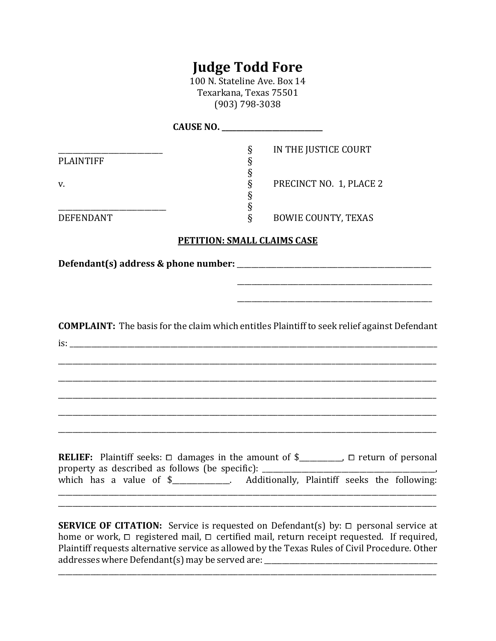## **Judge Todd Fore**

100 N. Stateline Ave. Box 14 Texarkana, Texas 75501 (903) 798-3038

| <b>PLAINTIFF</b> | $\S$<br>§                          | IN THE JUSTICE COURT                                                                                  |
|------------------|------------------------------------|-------------------------------------------------------------------------------------------------------|
| V.               | §<br>§<br>§                        | PRECINCT NO. 1, PLACE 2                                                                               |
| <b>DEFENDANT</b> | §<br>ş                             | <b>BOWIE COUNTY, TEXAS</b>                                                                            |
|                  | <b>PETITION: SMALL CLAIMS CASE</b> |                                                                                                       |
|                  |                                    |                                                                                                       |
|                  |                                    |                                                                                                       |
|                  |                                    |                                                                                                       |
|                  |                                    | <b>COMPLAINT:</b> The basis for the claim which entitles Plaintiff to seek relief against Defendant   |
|                  |                                    |                                                                                                       |
|                  |                                    |                                                                                                       |
|                  |                                    |                                                                                                       |
|                  |                                    |                                                                                                       |
|                  |                                    |                                                                                                       |
|                  |                                    | <b>RELIEF:</b> Plaintiff seeks: $\Box$ damages in the amount of \$________, $\Box$ return of personal |
|                  |                                    | which has a value of \$____________. Additionally, Plaintiff seeks the following:                     |
|                  |                                    |                                                                                                       |
|                  |                                    | <b>SERVICE OF CITATION:</b> Service is requested on Defendant(s) by: $\Box$ personal service at       |

home or work, <sup>⧠</sup> registered mail, <sup>⧠</sup> certified mail, return receipt requested. If required, Plaintiff requests alternative service as allowed by the Texas Rules of Civil Procedure. Other addresses where Defendant(s) may be served are: \_\_\_\_\_\_\_\_\_\_\_\_\_\_\_\_\_\_\_\_\_\_\_\_\_\_\_\_\_\_\_\_

\_\_\_\_\_\_\_\_\_\_\_\_\_\_\_\_\_\_\_\_\_\_\_\_\_\_\_\_\_\_\_\_\_\_\_\_\_\_\_\_\_\_\_\_\_\_\_\_\_\_\_\_\_\_\_\_\_\_\_\_\_\_\_\_\_\_\_\_\_\_\_\_\_\_\_\_\_\_\_\_\_\_\_\_\_\_\_\_\_\_\_\_\_\_\_\_\_\_\_\_\_\_\_\_\_